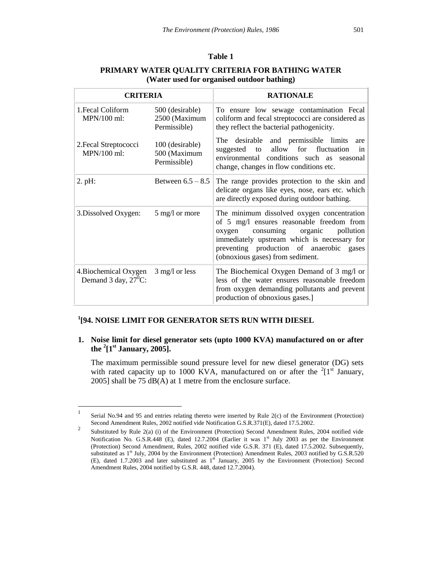# **1 [94. NOISE LIMIT FOR GENERATOR SETS RUN WITH DIESEL**

 $\overline{a}$ 

**1. Noise limit for diesel generator sets (upto 1000 KVA) manufactured on or after the <sup>2</sup> [1st January, 2005].**

The maximum permissible sound pressure level for new diesel generator (DG) sets with rated capacity up to 1000 KVA, manufactured on or after the <sup>2</sup>[1<sup>st</sup> January, 2005] shall be 75 dB(A) at 1 metre from the enclosure surface.

<sup>1</sup> Serial No.94 and 95 and entries relating thereto were inserted by Rule 2(c) of the Environment (Protection) Second Amendment Rules, 2002 notified vide Notification G.S.R.371(E), dated 17.5.2002.

<sup>2</sup> Substituted by Rule 2(a) (i) of the Environment (Protection) Second Amendment Rules, 2004 notified vide Notification No. G.S.R.448 (E), dated 12.7.2004 (Earlier it was  $1<sup>st</sup>$  July 2003 as per the Environment (Protection) Second Amendment, Rules, 2002 notified vide G.S.R. 371 (E), dated 17.5.2002. Subsequently, substituted as  $1<sup>st</sup>$  July, 2004 by the Environment (Protection) Amendment Rules, 2003 notified by G.S.R.520 (E), dated 1.7.2003 and later substituted as  $1<sup>st</sup>$  January, 2005 by the Environment (Protection) Second Amendment Rules, 2004 notified by G.S.R. 448, dated 12.7.2004).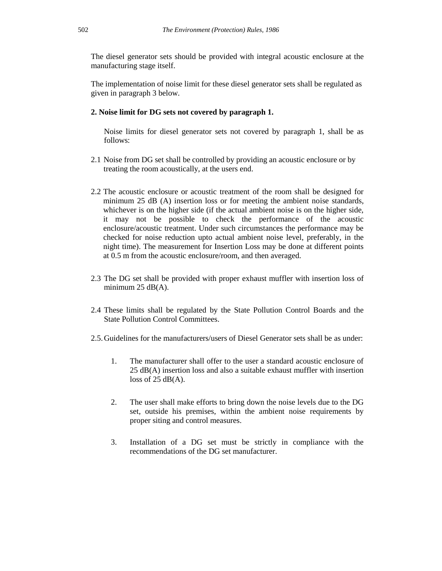The diesel generator sets should be provided with integral acoustic enclosure at the manufacturing stage itself.

The implementation of noise limit for these diesel generator sets shall be regulated as given in paragraph 3 below.

#### **2. Noise limit for DG sets not covered by paragraph 1.**

Noise limits for diesel generator sets not covered by paragraph 1, shall be as follows:

- 2.1 Noise from DG set shall be controlled by providing an acoustic enclosure or by treating the room acoustically, at the users end.
- 2.2 The acoustic enclosure or acoustic treatment of the room shall be designed for minimum 25 dB (A) insertion loss or for meeting the ambient noise standards, whichever is on the higher side (if the actual ambient noise is on the higher side, it may not be possible to check the performance of the acoustic enclosure/acoustic treatment. Under such circumstances the performance may be checked for noise reduction upto actual ambient noise level, preferably, in the night time). The measurement for Insertion Loss may be done at different points at 0.5 m from the acoustic enclosure/room, and then averaged.
- 2.3 The DG set shall be provided with proper exhaust muffler with insertion loss of minimum  $25$  dB(A).
- 2.4 These limits shall be regulated by the State Pollution Control Boards and the State Pollution Control Committees.
- 2.5.Guidelines for the manufacturers/users of Diesel Generator sets shall be as under:
	- 1. The manufacturer shall offer to the user a standard acoustic enclosure of 25 dB(A) insertion loss and also a suitable exhaust muffler with insertion loss of  $25$  dB(A).
	- 2. The user shall make efforts to bring down the noise levels due to the DG set, outside his premises, within the ambient noise requirements by proper siting and control measures.
	- 3. Installation of a DG set must be strictly in compliance with the recommendations of the DG set manufacturer.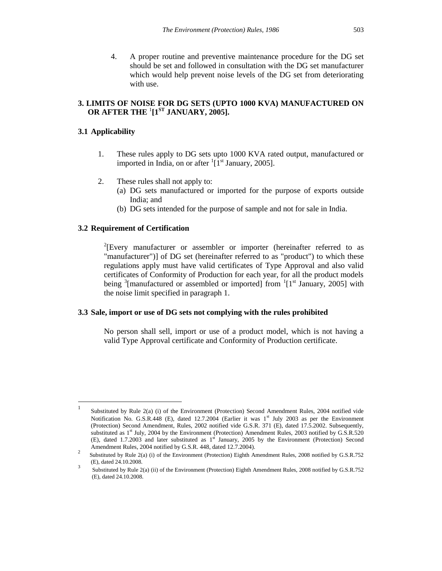4. A proper routine and preventive maintenance procedure for the DG set should be set and followed in consultation with the DG set manufacturer which would help prevent noise levels of the DG set from deteriorating with use.

### **3. LIMITS OF NOISE FOR DG SETS (UPTO 1000 KVA) MANUFACTURED ON OR AFTER THE** <sup>1</sup> **[1 ST JANUARY, 2005].**

#### **3.1 Applicability**

- 1. These rules apply to DG sets upto 1000 KVA rated output, manufactured or imported in India, on or after  $\frac{1}{1}$ [1<sup>st</sup> January, 2005].
- 2. These rules shall not apply to:
	- (a) DG sets manufactured or imported for the purpose of exports outside India; and
	- (b) DG sets intended for the purpose of sample and not for sale in India.

#### **3.2 Requirement of Certification**

 $2$ [Every manufacturer or assembler or importer (hereinafter referred to as "manufacturer")] of DG set (hereinafter referred to as "product") to which these regulations apply must have valid certificates of Type Approval and also valid certificates of Conformity of Production for each year, for all the product models being  $\frac{3}{2}$ [manufactured or assembled or imported] from  $\frac{1}{2}$ [1<sup>st</sup> January, 2005] with the noise limit specified in paragraph 1.

#### **3.3 Sale, import or use of DG sets not complying with the rules prohibited**

No person shall sell, import or use of a product model, which is not having a valid Type Approval certificate and Conformity of Production certificate.

 $\frac{1}{1}$ Substituted by Rule 2(a) (i) of the Environment (Protection) Second Amendment Rules, 2004 notified vide Notification No. G.S.R.448 (E), dated 12.7.2004 (Earlier it was  $1<sup>st</sup>$  July 2003 as per the Environment (Protection) Second Amendment, Rules, 2002 notified vide G.S.R. 371 (E), dated 17.5.2002. Subsequently, substituted as 1<sup>st</sup> July, 2004 by the Environment (Protection) Amendment Rules, 2003 notified by G.S.R.520 (E), dated 1.7.2003 and later substituted as  $1<sup>st</sup>$  January, 2005 by the Environment (Protection) Second Amendment Rules, 2004 notified by G.S.R. 448, dated 12.7.2004).

<sup>2</sup> Substituted by Rule 2(a) (i) of the Environment (Protection) Eighth Amendment Rules, 2008 notified by G.S.R.752 (E), dated 24.10.2008.

<sup>3</sup> Substituted by Rule 2(a) (ii) of the Environment (Protection) Eighth Amendment Rules, 2008 notified by G.S.R.752 (E), dated 24.10.2008.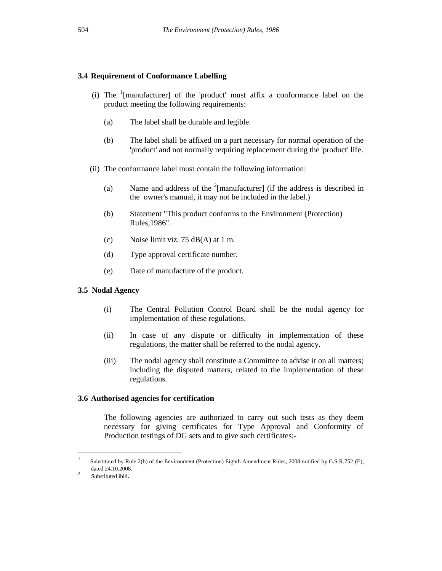### **3.4 Requirement of Conformance Labelling**

- (i) The  $\frac{1}{2}$  [manufacturer] of the 'product' must affix a conformance label on the product meeting the following requirements:
	- (a) The label shall be durable and legible.
	- (b) The label shall be affixed on a part necessary for normal operation of the 'product' and not normally requiring replacement during the 'product' life.
	- (ii) The conformance label must contain the following information:
		- (a) Name and address of the  $2$ [manufacturer] (if the address is described in the owner's manual, it may not be included in the label.)
		- (b) Statement "This product conforms to the Environment (Protection) Rules,1986".
		- (c) Noise limit viz. 75  $dB(A)$  at 1 m.
		- (d) Type approval certificate number.
		- (e) Date of manufacture of the product.

#### **3.5 Nodal Agency**

- (i) The Central Pollution Control Board shall be the nodal agency for implementation of these regulations.
- (ii) In case of any dispute or difficulty in implementation of these regulations, the matter shall be referred to the nodal agency.
- (iii) The nodal agency shall constitute a Committee to advise it on all matters; including the disputed matters, related to the implementation of these regulations.

#### **3.6 Authorised agencies for certification**

The following agencies are authorized to carry out such tests as they deem necessary for giving certificates for Type Approval and Conformity of Production testings of DG sets and to give such certificates:-

 $\frac{1}{1}$  Substituted by Rule 2(b) of the Environment (Protection) Eighth Amendment Rules, 2008 notified by G.S.R.752 (E), dated 24.10.2008. 2

Substituted ibid.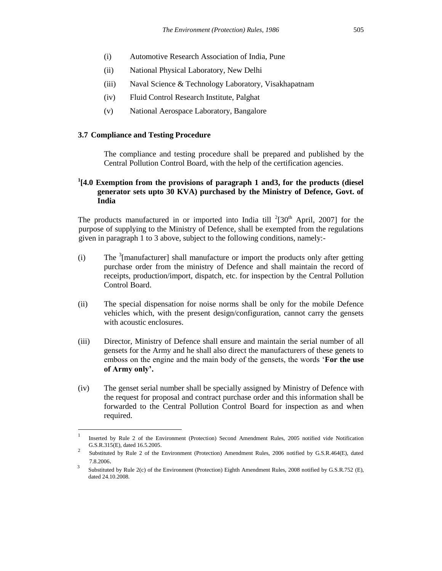- (i) Automotive Research Association of India, Pune
- (ii) National Physical Laboratory, New Delhi
- (iii) Naval Science & Technology Laboratory, Visakhapatnam
- (iv) Fluid Control Research Institute, Palghat
- (v) National Aerospace Laboratory, Bangalore

#### **3.7 Compliance and Testing Procedure**

 $\overline{a}$ 

The compliance and testing procedure shall be prepared and published by the Central Pollution Control Board, with the help of the certification agencies.

## **1 [4.0 Exemption from the provisions of paragraph 1 and3, for the products (diesel generator sets upto 30 KVA) purchased by the Ministry of Defence, Govt. of India**

The products manufactured in or imported into India till  $2[30<sup>th</sup>$  April, 2007] for the purpose of supplying to the Ministry of Defence, shall be exempted from the regulations given in paragraph 1 to 3 above, subject to the following conditions, namely:-

- (i) The  $\frac{3}{2}$ [manufacturer] shall manufacture or import the products only after getting purchase order from the ministry of Defence and shall maintain the record of receipts, production/import, dispatch, etc. for inspection by the Central Pollution Control Board.
- (ii) The special dispensation for noise norms shall be only for the mobile Defence vehicles which, with the present design/configuration, cannot carry the gensets with acoustic enclosures.
- (iii) Director, Ministry of Defence shall ensure and maintain the serial number of all gensets for the Army and he shall also direct the manufacturers of these genets to emboss on the engine and the main body of the gensets, the words **For the use of Army only'.**
- (iv) The genset serial number shall be specially assigned by Ministry of Defence with the request for proposal and contract purchase order and this information shall be forwarded to the Central Pollution Control Board for inspection as and when required.

<sup>1</sup> Inserted by Rule 2 of the Environment (Protection) Second Amendment Rules, 2005 notified vide Notification G.S.R.315(E), dated 16.5.2005. 2

Substituted by Rule 2 of the Environment (Protection) Amendment Rules, 2006 notified by G.S.R.464(E), dated 7.8.2006.

<sup>3</sup> Substituted by Rule 2(c) of the Environment (Protection) Eighth Amendment Rules, 2008 notified by G.S.R.752 (E), dated 24.10.2008.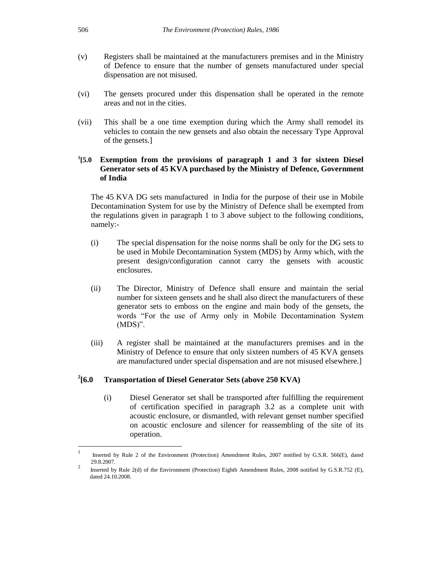- (v) Registers shall be maintained at the manufacturers premises and in the Ministry of Defence to ensure that the number of gensets manufactured under special dispensation are not misused.
- (vi) The gensets procured under this dispensation shall be operated in the remote areas and not in the cities.
- (vii) This shall be a one time exemption during which the Army shall remodel its vehicles to contain the new gensets and also obtain the necessary Type Approval of the gensets.]

#### $^{1}$ [5.0 **[5.0 Exemption from the provisions of paragraph 1 and 3 for sixteen Diesel Generator sets of 45 KVA purchased by the Ministry of Defence, Government of India**

The 45 KVA DG sets manufactured in India for the purpose of their use in Mobile Decontamination System for use by the Ministry of Defence shall be exempted from the regulations given in paragraph 1 to 3 above subject to the following conditions, namely:-

- (i) The special dispensation for the noise norms shall be only for the DG sets to be used in Mobile Decontamination System (MDS) by Army which, with the present design/configuration cannot carry the gensets with acoustic enclosures.
- (ii) The Director, Ministry of Defence shall ensure and maintain the serial number for sixteen gensets and he shall also direct the manufacturers of these generator sets to emboss on the engine and main body of the gensets, the words "For the use of Army only in Mobile Decontamination System  $(MDS)$ ".
- (iii) A register shall be maintained at the manufacturers premises and in the Ministry of Defence to ensure that only sixteen numbers of 45 KVA gensets are manufactured under special dispensation and are not misused elsewhere.]

#### $^{2}$ [6.0 **[6.0 Transportation of Diesel Generator Sets (above 250 KVA)**

(i) Diesel Generator set shall be transported after fulfilling the requirement of certification specified in paragraph 3.2 as a complete unit with acoustic enclosure, or dismantled, with relevant genset number specified on acoustic enclosure and silencer for reassembling of the site of its operation.

 $\frac{1}{1}$  Inserted by Rule 2 of the Environment (Protection) Amendment Rules, 2007 notified by G.S.R. 566(E), dated 29.8.2007.

<sup>2</sup> Inserted by Rule 2(d) of the Environment (Protection) Eighth Amendment Rules, 2008 notified by G.S.R.752 (E), dated 24.10.2008.